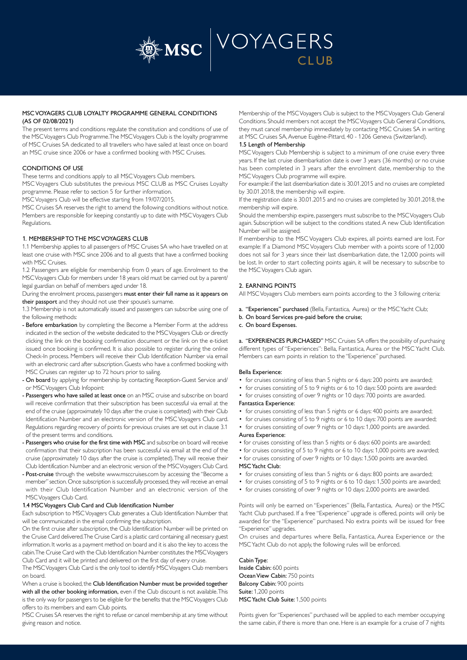

# MSC VOYAGERS CLUB LOYALTY PROGRAMME GENERAL CONDITIONS (AS OF 02/08/2021)

The present terms and conditions regulate the constitution and conditions of use of the MSC Voyagers Club Programme. The MSC Voyagers Club is the loyalty programme of MSC Cruises SA dedicated to all travellers who have sailed at least once on board an MSC cruise since 2006 or have a confirmed booking with MSC Cruises.

# CONDITIONS OF USE

These terms and conditions apply to all MSC Voyagers Club members.

MSC Voyagers Club substitutes the previous MSC CLUB as MSC Cruises Loyalty programme. Please refer to section 5 for further information.

MSC Voyagers Club will be effective starting from 19/07/2015.

MSC Cruises SA reserves the right to amend the following conditions without notice. Members are responsible for keeping constantly up to date with MSC Voyagers Club Regulations.

## 1. MEMBERSHIP TO THE MSC VOYAGERS CLUB

1.1 Membership applies to all passengers of MSC Cruises SA who have travelled on at least one cruise with MSC since 2006 and to all guests that have a confirmed booking with MSC Cruises.

1.2 Passengers are eligible for membership from 0 years of age. Enrolment to the MSC Voyagers Club for members under 18 years old must be carried out by a parent/ legal guardian on behalf of members aged under 18.

During the enrolment process, passengers must enter their full name as it appears on their passport and they should not use their spouse's surname.

1.3 Membership is not automatically issued and passengers can subscribe using one of the following methods:

- Before embarkation by completing the Become a Member Form at the address indicated in the section of the website dedicated to the MSC Voyagers Club or directly clicking the link on the booking confirmation document or the link on the e-ticket issued once booking is confirmed. It is also possible to register during the online Check-In process. Members will receive their Club Identification Number via email with an electronic card after subscription. Guests who have a confirmed booking with MSC Cruises can register up to 72 hours prior to sailing.
- On board by applying for membership by contacting Reception-Guest Service and/ or MSC Voyagers Club Infopoint:
- Passengers who have sailed at least once on an MSC cruise and subscribe on board will receive confirmation that their subscription has been successful via email at the end of the cruise (approximately 10 days after the cruise is completed) with their Club Identification Number and an electronic version of the MSC Voyagers Club card. Regulations regarding recovery of points for previous cruises are set out in clause 3.1 of the present terms and conditions.
- Passengers who cruise for the first time with MSC and subscribe on board will receive confirmation that their subscription has been successful via email at the end of the cruise (approximately 10 days after the cruise is completed). They will receive their Club Identification Number and an electronic version of the MSC Voyagers Club Card.
- Post-cruise through the website www.msccruises.com by accessing the "Become a member" section. Once subscription is successfully processed, they will receive an email with their Club Identification Number and an electronic version of the MSC Voyagers Club Card.

#### 1.4 MSC Voyagers Club Card and Club Identification Number

Each subscription to MSC Voyagers Club generates a Club Identification Number that will be communicated in the email confirming the subscription.

On the first cruise after subscription, the Club Identification Number will be printed on the Cruise Card delivered. The Cruise Card is a plastic card containing all necessary guest information. It works as a payment method on board and it is also the key to access the cabin. The Cruise Card with the Club Identification Number constitutes the MSC Voyagers Club Card and it will be printed and delivered on the first day of every cruise.

The MSC Voyagers Club Card is the only tool to identify MSC Voyagers Club members on board.

When a cruise is booked, the Club Identification Number must be provided together with all the other booking information, even if the Club discount is not available. This is the only way for passengers to be eligible for the benefits that the MSC Voyagers Club offers to its members and earn Club points.

MSC Cruises SA reserves the right to refuse or cancel membership at any time without giving reason and notice.

Membership of the MSC Voyagers Club is subject to the MSC Voyagers Club General Conditions. Should members not accept the MSC Voyagers Club General Conditions, they must cancel membership immediately by contacting MSC Cruises SA in writing at MSC Cruises SA, Avenue Eugène-Pittard, 40 - 1206 Geneva (Switzerland).

#### 1.5 Length of Membership

MSC Voyagers Club Membership is subject to a minimum of one cruise every three years. If the last cruise disembarkation date is over 3 years (36 months) or no cruise has been completed in 3 years after the enrolment date, membership to the MSC Voyagers Club programme will expire.

For example: if the last disembarkation date is 30.01.2015 and no cruises are completed by 30.01.2018, the membership will expire.

If the registration date is 30.01.2015 and no cruises are completed by 30.01.2018, the membership will expire.

Should the membership expire, passengers must subscribe to the MSC Voyagers Club again. Subscription will be subject to the conditions stated. A new Club Identification Number will be assigned.

If membership to the MSC Voyagers Club expires, all points earned are lost. For example: If a Diamond MSC Voyagers Club member with a points score of 12,000 does not sail for 3 years since their last disembarkation date, the 12,000 points will be lost. In order to start collecting points again, it will be necessary to subscribe to the MSC Voyagers Club again.

## 2. EARNING POINTS

All MSC Voyagers Club members earn points according to the 3 following criteria:

- a. "Experiences" purchased (Bella, Fantastica, Aurea) or the MSC Yacht Club;
- b. On board Services pre-paid before the cruise;

## c. On board Expenses.

a. "EXPERIENCES PURCHASED" MSC Cruises SA offers the possibility of purchasing different types of "Experiences": Bella, Fantastica, Aurea or the MSC Yacht Club. Members can earn points in relation to the "Experience" purchased.

#### Bella Experience:

- for cruises consisting of less than 5 nights or 6 days: 200 points are awarded;
- for cruises consisting of 5 to 9 nights or 6 to 10 days: 500 points are awarded:
- for cruises consisting of over 9 nights or 10 days: 700 points are awarded.

## Fantastica Experience:

- for cruises consisting of less than 5 nights or 6 days: 400 points are awarded;
	- for cruises consisting of 5 to 9 nights or 6 to 10 days: 700 points are awarded;
	- for cruises consisting of over 9 nights or 10 days: 1,000 points are awarded. Aurea Experience:
	- for cruises consisting of less than 5 nights or 6 days: 600 points are awarded;
	- for cruises consisting of 5 to 9 nights or 6 to 10 days: 1,000 points are awarded;
	- for cruises consisting of over 9 nights or 10 days: 1,500 points are awarded. MSC Yacht Club:
	- for cruises consisting of less than 5 nights or 6 days: 800 points are awarded;
	- for cruises consisting of 5 to 9 nights or 6 to 10 days: 1,500 points are awarded;
	- for cruises consisting of over 9 nights or 10 days: 2,000 points are awarded.

Points will only be earned on "Experiences" (Bella, Fantastica, Aurea) or the MSC Yacht Club purchased. If a free "Experience" upgrade is offered, points will only be awarded for the "Experience" purchased. No extra points will be issued for free "Experience" upgrades.

On cruises and departures where Bella, Fantastica, Aurea Experience or the MSC Yacht Club do not apply, the following rules will be enforced.

Cabin Type: Inside Cabin: 600 points Ocean View Cabin: 750 points Balcony Cabin: 900 points Suite: 1,200 points

MSC Yacht Club Suite: 1,500 points

Points given for "Experiences" purchased will be applied to each member occupying the same cabin, if there is more than one. Here is an example for a cruise of 7 nights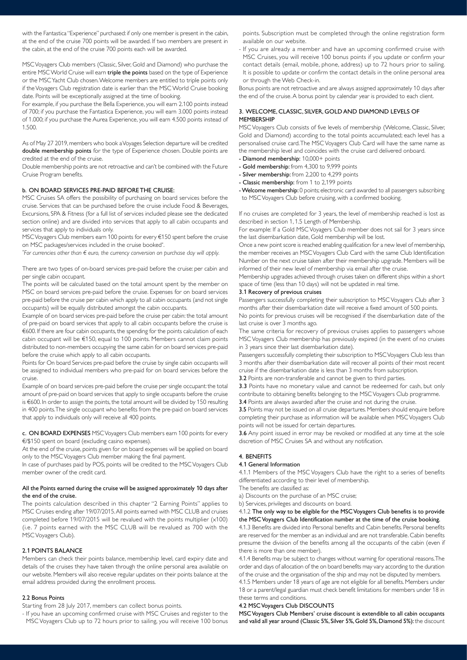with the Fantastica "Experience" purchased: if only one member is present in the cabin, at the end of the cruise 700 points will be awarded. If two members are present in the cabin, at the end of the cruise 700 points each will be awarded.

MSC Voyagers Club members (Classic, Silver, Gold and Diamond) who purchase the entire MSC World Cruise will earn triple the points based on the type of Experience or the MSC Yacht Club chosen. Welcome members are entitled to triple points only if the Voyagers Club registration date is earlier than the MSC World Cruise booking date. Points will be exceptionally assigned at the time of booking.

For example, if you purchase the Bella Experience, you will earn 2.100 points instead of 700; if you purchase the Fantastica Experience, you will earn 3.000 points instead of 1.000; if you purchase the Aurea Experience, you will earn 4.500 points instead of 1.500.

As of May 27 2019, members who book a Voyages Selection departure will be credited double membership points for the type of Experience chosen. Double points are credited at the end of the cruise.

Double membership points are not retroactive and can't be combined with the Future Cruise Program benefits.

### b. ON BOARD SERVICES PRE-PAID BEFORE THE CRUISE:

MSC Cruises SA offers the possibility of purchasing on board services before the cruise. Services that can be purchased before the cruise include Food & Beverages, Excursions, SPA & Fitness (for a full list of services included please see the dedicated section online) and are divided into services that apply to all cabin occupants and services that apply to individuals only.

MSC Voyagers Club members earn 100 points for every €150 spent before the cruise on MSC packages/services included in the cruise booked\* .

*\* For currencies other than € euro, the currency conversion on purchase day will apply.*

There are two types of on-board services pre-paid before the cruise: per cabin and per single cabin occupant.

The points will be calculated based on the total amount spent by the member on MSC on board services pre-paid before the cruise. Expenses for on board services pre-paid before the cruise per cabin which apply to all cabin occupants (and not single occupants) will be equally distributed amongst the cabin occupants.

Example of on board services pre-paid before the cruise per cabin: the total amount of pre-paid on board services that apply to all cabin occupants before the cruise is €600. If there are four cabin occupants, the spending for the points calculation of each cabin occupant will be €150, equal to 100 points. Members cannot claim points distributed to non-members occupying the same cabin for on board services pre-paid before the cruise which apply to all cabin occupants.

Points for On board Services pre-paid before the cruise by single cabin occupants will be assigned to individual members who pre-paid for on board services before the cruise.

Example of on board services pre-paid before the cruise per single occupant: the total amount of pre-paid on board services that apply to single occupants before the cruise is €600. In order to assign the points, the total amount will be divided by 150 resulting in 400 points. The single occupant who benefits from the pre-paid on board services that apply to individuals only will receive all 400 points.

c. ON BOARD EXPENSES MSC Voyagers Club members earn 100 points for every €/\$150 spent on board (excluding casino expenses).

At the end of the cruise, points given for on board expenses will be applied on board only to the MSC Voyagers Club member making the final payment.

In case of purchases paid by POS, points will be credited to the MSC Voyagers Club member owner of the credit card.

## All the Points earned during the cruise will be assigned approximately 10 days after the end of the cruise.

The points calculation described in this chapter "2 Earning Points" applies to MSC Cruises ending after 19/07/2015. All points earned with MSC CLUB and cruises completed before 19/07/2015 will be revalued with the points multiplier (x100) (i.e. 7 points earned with the MSC CLUB will be revalued as 700 with the MSC Voyagers Club).

#### 2.1 POINTS BALANCE

Members can check their points balance, membership level, card expiry date and details of the cruises they have taken through the online personal area available on our website. Members will also receive regular updates on their points balance at the email address provided during the enrollment process.

### 2.2 Bonus Points

Starting from 28 July 2017, members can collect bonus points.

- If you have an upcoming confirmed cruise with MSC Cruises and register to the MSC Voyagers Club up to 72 hours prior to sailing, you will receive 100 bonus points. Subscription must be completed through the online registration form available on our website.

- If you are already a member and have an upcoming confirmed cruise with MSC Cruises, you will receive 100 bonus points if you update or confirm your contact details (email, mobile, phone, address) up to 72 hours prior to sailing. It is possible to update or confirm the contact details in the online personal area or through the Web Check-in.

Bonus points are not retroactive and are always assigned approximately 10 days after the end of the cruise. A bonus point by calendar year is provided to each client.

## 3. WELCOME, CLASSIC, SILVER, GOLD AND DIAMOND LEVELS OF **MEMBERSHIP**

MSC Voyagers Club consists of five levels of membership (Welcome, Classic, Silver, Gold and Diamond) according to the total points accumulated; each level has a personalised cruise card. The MSC Voyagers Club Card will have the same name as the membership level and coincides with the cruise card delivered onboard.

- Diamond membership: 10,000+ points
- Gold membership: from 4,300 to 9,999 points
- Silver membership: from 2,200 to 4,299 points
- Classic membership: from 1 to 2,199 points
- Welcome membership: 0 points; electronic card awarded to all passengers subscribing to MSC Voyagers Club before cruising, with a confirmed booking.

If no cruises are completed for 3 years, the level of membership reached is lost as described in section 1, 1.5 Length of Membership.

For example: If a Gold MSC Voyagers Club member does not sail for 3 years since the last disembarkation date, Gold membership will be lost.

Once a new point score is reached enabling qualification for a new level of membership, the member receives an MSC Voyagers Club Card with the same Club Identification Number on the next cruise taken after their membership upgrade. Members will be informed of their new level of membership via email after the cruise.

Membership upgrades achieved through cruises taken on different ships within a short space of time (less than 10 days) will not be updated in real time.

# 3.1 Recovery of previous cruises

Passengers successfully completing their subscription to MSC Voyagers Club after 3 months after their disembarkation date will receive a fixed amount of 500 points.

No points for previous cruises will be recognised if the disembarkation date of the last cruise is over 3 months ago.

The same criteria for recovery of previous cruises applies to passengers whose MSC Voyagers Club membership has previously expired (in the event of no cruises in 3 years since their last disembarkation date).

Passengers successfully completing their subscription to MSC Voyagers Club less than 3 months after their disembarkation date will recover all points of their most recent cruise if the disembarkation date is less than 3 months from subscription.

3.2 Points are non-transferable and cannot be given to third parties.

3.3 Points have no monetary value and cannot be redeemed for cash, but only contribute to obtaining benefits belonging to the MSC Voyagers Club programme.

3.4 Points are always awarded after the cruise and not during the cruise.

3.5 Points may not be issued on all cruise departures. Members should enquire before completing their purchase as information will be available when MSC Voyagers Club points will not be issued for certain departures.

3.6 Any point issued in error may be revoked or modified at any time at the sole discretion of MSC Cruises SA and without any notification.

# 4. BENEFITS

## 4.1 General Information

4.1.1 Members of the MSC Voyagers Club have the right to a series of benefits differentiated according to their level of membership.

The benefits are classified as:

a) Discounts on the purchase of an MSC cruise;

b) Services, privileges and discounts on board.

4.1.2 The only way to be eligible for the MSC Voyagers Club benefits is to provide the MSC Voyagers Club Identification number at the time of the cruise booking.

4.1.3 Benefits are divided into Personal benefits and Cabin benefits. Personal benefits are reserved for the member as an individual and are not transferable. Cabin benefits presume the division of the benefits among all the occupants of the cabin (even if there is more than one member).

4.1.4 Benefits may be subject to changes without warning for operational reasons. The order and days of allocation of the on board benefits may vary according to the duration of the cruise and the organisation of the ship and may not be disputed by members.

4.1.5 Members under 18 years of age are not eligible for all benefits. Members under 18 or a parent/legal guardian must check benefit limitations for members under 18 in these terms and conditions.

## 4.2 MSC Voyagers Club DISCOUNTS

MSC Voyagers Club Members' cruise discount is extendible to all cabin occupants and valid all year around (Classic 5%, Silver 5%, Gold 5%, Diamond 5%): the discount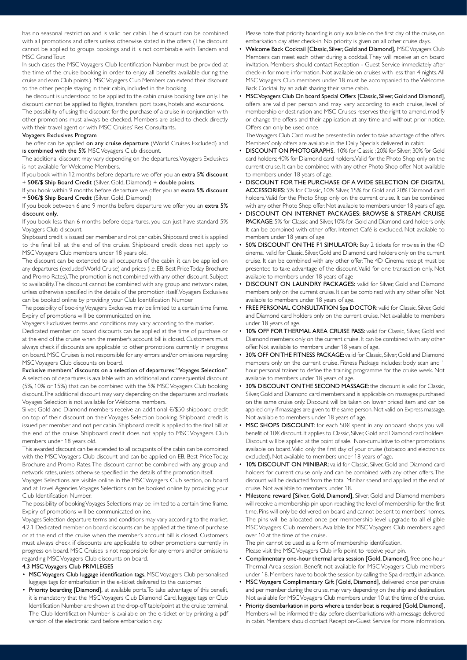has no seasonal restriction and is valid per cabin. The discount can be combined with all promotions and offers unless otherwise stated in the offers (The discount cannot be applied to groups bookings and it is not combinable with Tandem and MSC Grand Tour.

In such cases the MSC Voyagers Club Identification Number must be provided at the time of the cruise booking in order to enjoy all benefits available during the cruise and earn Club points.). MSC Voyagers Club Members can extend their discount to the other people staying in their cabin, included in the booking.

The discount is understood to be applied to the cabin cruise booking fare only. The discount cannot be applied to flights, transfers, port taxes, hotels and excursions.

The possibility of using the discount for the purchase of a cruise in conjunction with other promotions must always be checked. Members are asked to check directly with their travel agent or with MSC Cruises' Res Consultants.

### Voyagers Exclusives Program

The offer can be applied on any cruise departure (World Cruises Excluded) and is combined with the 5% MSC Voyagers Club discount.

The additional discount may vary depending on the departures. Voyagers Exclusives is not available for Welcome Members.

If you book within 12 months before departure we offer you an extra 5% discount + 50€/\$ Ship Board Credit (Silver, Gold, Diamond) + double points.

If you book within 9 months before departure we offer you an extra 5% discount + 50€/\$ Ship Board Credit (Silver, Gold, Diamond)

If you book between 6 and 9 months before departure we offer you an extra 5% discount only.

If you book less than 6 months before departures, you can just have standard 5% Voyagers Club discount.

Shipboard credit is issued per member and not per cabin. Shipboard credit is applied to the final bill at the end of the cruise. Shipboard credit does not apply to MSC Voyagers Club members under 18 years old.

The discount can be extended to all occupants of the cabin, it can be applied on any departures (excluded World Cruise) and prices (i.e. EB, Best Price Today, Brochure and Promo Rates). The promotion is not combined with any other discount. Subject to availability. The discount cannot be combined with any group and network rates, unless otherwise specified in the details of the promotion itself. Voyagers Exclusives can be booked online by providing your Club Identification Number.

The possibility of booking Voyagers Exclusives may be limited to a certain time frame. Expiry of promotions will be communicated online.

Voyagers Exclusives terms and conditions may vary according to the market.

Dedicated member on board discounts can be applied at the time of purchase or at the end of the cruise when the member's account bill is closed. Customers must always check if discounts are applicable to other promotions currently in progress on board. MSC Cruises is not responsible for any errors and/or omissions regarding MSC Voyagers Club discounts on board.

Exclusive members' discounts on a selection of departures: "Voyages Selection" A selection of departures is available with an additional and consequential discount (5%, 10% or 15%) that can be combined with the 5% MSC Voyagers Club booking discount. The additional discount may vary depending on the departures and markets Voyages Selection is not available for Welcome members.

Silver, Gold and Diamond members receive an additional €/\$50 shipboard credit on top of their discount on their Voyages Selection booking. Shipboard credit is issued per member and not per cabin. Shipboard credit is applied to the final bill at the end of the cruise. Shipboard credit does not apply to MSC Voyagers Club members under 18 years old.

This awarded discount can be extended to all occupants of the cabin can be combined with the MSC Voyagers Club discount and can be applied on EB, Best Price Today, Brochure and Promo Rates. The discount cannot be combined with any group and network rates, unless otherwise specified in the details of the promotion itself.

Voyages Selections are visible online in the MSC Voyagers Club section, on board and at Travel Agencies. Voyages Selections can be booked online by providing your Club Identification Number.

The possibility of booking Voyages Selections may be limited to a certain time frame. Expiry of promotions will be communicated online.

Voyages Selection departure terms and conditions may vary according to the market. 4.2.1 Dedicated member on board discounts can be applied at the time of purchase or at the end of the cruise when the member's account bill is closed. Customers must always check if discounts are applicable to other promotions currently in progress on board. MSC Cruises is not responsible for any errors and/or omissions regarding MSC Voyagers Club discounts on board.

## 4.3 MSC Voyagers Club PRIVILEGES

- MSC Voyagers Club luggage identification tags, MSC Voyagers Club personalised luggage tags for embarkation in the e-ticket delivered to the customer.
- Priority boarding [Diamond], at available ports. To take advantage of this benefit, it is mandatory that the MSC Voyagers Club Diamond Card, luggage tags or Club Identification Number are shown at the drop-off table/point at the cruise terminal. The Club Identification Number is available on the e-ticket or by printing a pdf version of the electronic card before embarkation day.

Please note that priority boarding is only available on the first day of the cruise, on embarkation day after check-in. No priority is given on all other cruise days.

- Welcome Back Cocktail [Classic, Silver, Gold and Diamond], MSC Voyagers Club Members can meet each other during a cocktail. They will receive an on board invitation. Members should contact Reception - Guest Service immediately after check-in for more information. Not available on cruises with less than 4 nights. All MSC Voyagers Club members under 18 must be accompanied to the Welcome Back Cocktail by an adult sharing their same cabin.
- MSC Voyagers Club On board Special Offers [Classic, Silver, Gold and Diamond], offers are valid per person and may vary according to each cruise, level of membership or destination and MSC Cruises reserves the right to amend, modify or change the offers and their application at any time and without prior notice. Offers can only be used once.

The Voyagers Club Card must be presented in order to take advantage of the offers. Members' only offers are available in the Daily Specials delivered in cabin:

- DISCOUNT ON PHOTOGRAPHS. 10% for Classic ; 20% for Silver; 30% for Gold card holders; 40% for Diamond card holders. Valid for the Photo Shop only on the current cruise. It can be combined with any other Photo Shop offer. Not available to members under 18 years of age.
- DISCOUNT FOR THE PURCHASE OF A WIDE SELECTION OF DIGITAL ACCESSORIES: 5% for Classic, 10% Silver, 15% for Gold and 20% Diamond card holders. Valid for the Photo Shop only on the current cruise. It can be combined with any other Photo Shop offer. Not available to members under 18 years of age.
- DISCOUNT ON INTERNET PACKAGES: BROWSE & STREAM CRUISE PACKAGE: 5% for Classic and Silver, 10% for Gold and Diamond card holders only. It can be combined with other offer. Internet Café is excluded. Not available to members under 18 years of age.
- 50% DISCOUNT ON THE F1 SIMULATOR: Buy 2 tickets for movies in the 4D cinema, valid for Classic, Silver, Gold and Diamond card holders only on the current cruise. It can be combined with any other offer. The 4D Cinema receipt must be presented to take advantage of the discount. Valid for one transaction only. Not available to members under 18 years of age
- DISCOUNT ON LAUNDRY PACKAGES: valid for Silver, Gold and Diamond members only on the current cruise. It can be combined with any other offer. Not available to members under 18 years of age.
- FREE PERSONAL CONSULTATION Spa DOCTOR: valid for Classic, Silver, Gold and Diamond card holders only on the current cruise. Not available to members under 18 years of age.
- 10% OFF FOR THERMAL AREA CRUISE PASS: valid for Classic, Silver, Gold and Diamond members only on the current cruise. It can be combined with any other offer. Not available to members under 18 years of age.
- 30% OFF ON THE FITNESS PACKAGE: valid for Classic, Silver, Gold and Diamond members only on the current cruise. Fitness Package includes: body scan and 1 hour personal trainer to define the training programme for the cruise week. Not available to members under 18 years of age.
- 30% DISCOUNT ON THE SECOND MASSAGE: the discount is valid for Classic, Silver, Gold and Diamond card members and is applicable on massages purchased on the same cruise only. Discount will be taken on lower priced item and can be applied only if massages are given to the same person. Not valid on Express massage. Not available to members under 18 years of age.
- MSC SHOPS DISCOUNT: for each 50€ spent in any onboard shops you will benefit of 10€ discount. It applies to Classic, Silver, Gold and Diamond card holders. Discount will be applied at the point of sale. Non-cumulative to other promotions available on board. Valid only the first day of your cruise (tobacco and electronics excluded). Not available to members under 18 years of age.
- 10% DISCOUNT ON MINIBAR: valid for Classic, Silver, Gold and Diamond card holders for current cruise only and can be combined with any other offers. The discount will be deducted from the total Minibar spend and applied at the end of cruise. Not available to members under 18.
- Milestone reward [Silver, Gold, Diamond], Silver, Gold and Diamond members will receive a membership pin upon reaching the level of membership for the first time. Pins will only be delivered on board and cannot be sent to members' homes. The pins will be allocated once per membership level upgrade to all eligible MSC Voyagers Club members. Available for MSC Voyagers Club members aged over 10 at the time of the cruise.

The pin cannot be used as a form of membership identification. Please visit the MSC Voyagers Club info point to receive your pin.

- Complimentary one-hour thermal area session [Gold, Diamond], free one-hour Thermal Area session. Benefit not available for MSC Voyagers Club members under 18. Members have to book the session by calling the Spa directly, in advance.
- MSC Voyagers Complimentary Gift [Gold, Diamond], delivered once per cruise and per member during the cruise, may vary depending on the ship and destination. Not available for MSC Voyagers Club members under 10 at the time of the cruise.
- Priority disembarkation in ports where a tender boat is required [Gold, Diamond], Members will be informed the day before disembarkations with a message delivered in cabin. Members should contact Reception-Guest Service for more information.